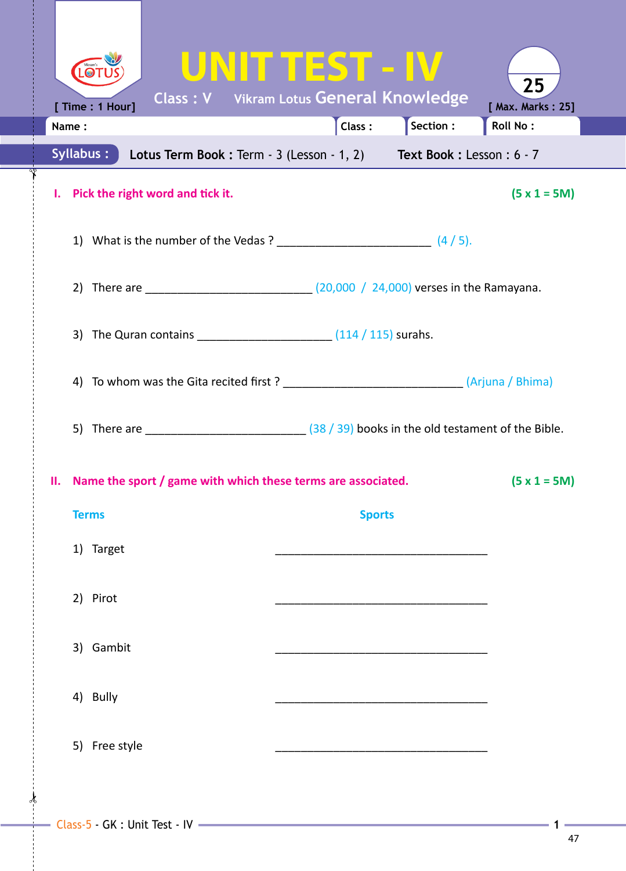| $\bigcirc$<br><b>Class: V</b> Vikram Lotus General Knowledge                                                                                                      | UNITTEST - IV |                 | 25                            |  |
|-------------------------------------------------------------------------------------------------------------------------------------------------------------------|---------------|-----------------|-------------------------------|--|
| [ Time : 1 Hour]<br>Name:                                                                                                                                         | Class:        | $\int$ Section: | [ Max. Marks: 25]<br>Roll No: |  |
| Syllabus:<br>Lotus Term Book: Term - 3 (Lesson - 1, 2) Text Book: Lesson: 6 - 7                                                                                   |               |                 |                               |  |
| Pick the right word and tick it.<br>L.                                                                                                                            |               |                 | $(5 x 1 = 5M)$                |  |
|                                                                                                                                                                   |               |                 |                               |  |
| 2) There are _______________________________(20,000 / 24,000) verses in the Ramayana.                                                                             |               |                 |                               |  |
| 3) The Quran contains ________________________________ (114 / 115) surahs.                                                                                        |               |                 |                               |  |
| 4) To whom was the Gita recited first? ______________________________(Arjuna / Bhima)                                                                             |               |                 |                               |  |
| 5) There are $\frac{1}{2}$ There are $\frac{1}{2}$ $\frac{1}{2}$ $\frac{1}{2}$ $\frac{1}{2}$ $\frac{1}{2}$ $\frac{1}{2}$ books in the old testament of the Bible. |               |                 |                               |  |
| II. Name the sport / game with which these terms are associated.<br>$(5 x 1 = 5M)$                                                                                |               |                 |                               |  |
| <b>Terms</b>                                                                                                                                                      | <b>Sports</b> |                 |                               |  |
| 1) Target                                                                                                                                                         |               |                 |                               |  |
| 2) Pirot                                                                                                                                                          |               |                 |                               |  |
| 3) Gambit                                                                                                                                                         |               |                 |                               |  |
| 4) Bully                                                                                                                                                          |               |                 |                               |  |
| 5) Free style                                                                                                                                                     |               |                 |                               |  |
|                                                                                                                                                                   |               |                 |                               |  |

∛∘

 $\int$